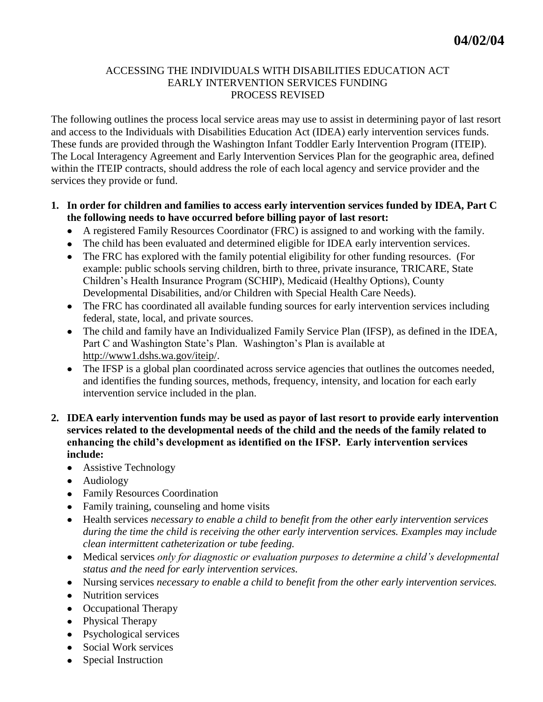## ACCESSING THE INDIVIDUALS WITH DISABILITIES EDUCATION ACT EARLY INTERVENTION SERVICES FUNDING PROCESS REVISED

The following outlines the process local service areas may use to assist in determining payor of last resort and access to the Individuals with Disabilities Education Act (IDEA) early intervention services funds. These funds are provided through the Washington Infant Toddler Early Intervention Program (ITEIP). The Local Interagency Agreement and Early Intervention Services Plan for the geographic area, defined within the ITEIP contracts, should address the role of each local agency and service provider and the services they provide or fund.

### **1. In order for children and families to access early intervention services funded by IDEA, Part C the following needs to have occurred before billing payor of last resort:**

- A registered Family Resources Coordinator (FRC) is assigned to and working with the family.
- The child has been evaluated and determined eligible for IDEA early intervention services.
- The FRC has explored with the family potential eligibility for other funding resources. (For example: public schools serving children, birth to three, private insurance, TRICARE, State Children's Health Insurance Program (SCHIP), Medicaid (Healthy Options), County Developmental Disabilities, and/or Children with Special Health Care Needs).
- The FRC has coordinated all available funding sources for early intervention services including federal, state, local, and private sources.
- The child and family have an Individualized Family Service Plan (IFSP), as defined in the IDEA, Part C and Washington State's Plan. Washington's Plan is available at http://www1.dshs.wa.gov/iteip/.
- The IFSP is a global plan coordinated across service agencies that outlines the outcomes needed, and identifies the funding sources, methods, frequency, intensity, and location for each early intervention service included in the plan.
- **2. IDEA early intervention funds may be used as payor of last resort to provide early intervention services related to the developmental needs of the child and the needs of the family related to enhancing the child's development as identified on the IFSP. Early intervention services include:**
	- Assistive Technology
	- Audiology
	- Family Resources Coordination
	- Family training, counseling and home visits
	- Health services *necessary to enable a child to benefit from the other early intervention services during the time the child is receiving the other early intervention services. Examples may include clean intermittent catheterization or tube feeding.*
	- Medical services *only for diagnostic or evaluation purposes to determine a child's developmental status and the need for early intervention services.*
	- Nursing services *necessary to enable a child to benefit from the other early intervention services.*
	- Nutrition services
	- Occupational Therapy
	- Physical Therapy
	- Psychological services
	- Social Work services
	- Special Instruction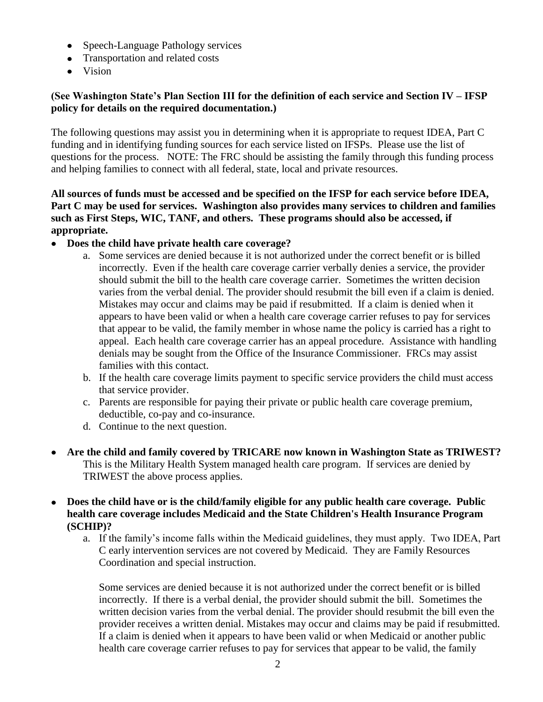- Speech-Language Pathology services
- Transportation and related costs
- Vision

# **(See Washington State's Plan Section III for the definition of each service and Section IV – IFSP policy for details on the required documentation.)**

The following questions may assist you in determining when it is appropriate to request IDEA, Part C funding and in identifying funding sources for each service listed on IFSPs. Please use the list of questions for the process. NOTE: The FRC should be assisting the family through this funding process and helping families to connect with all federal, state, local and private resources.

**All sources of funds must be accessed and be specified on the IFSP for each service before IDEA, Part C may be used for services. Washington also provides many services to children and families such as First Steps, WIC, TANF, and others. These programs should also be accessed, if appropriate.**

- **Does the child have private health care coverage?** 
	- a. Some services are denied because it is not authorized under the correct benefit or is billed incorrectly. Even if the health care coverage carrier verbally denies a service, the provider should submit the bill to the health care coverage carrier. Sometimes the written decision varies from the verbal denial. The provider should resubmit the bill even if a claim is denied. Mistakes may occur and claims may be paid if resubmitted. If a claim is denied when it appears to have been valid or when a health care coverage carrier refuses to pay for services that appear to be valid, the family member in whose name the policy is carried has a right to appeal. Each health care coverage carrier has an appeal procedure. Assistance with handling denials may be sought from the Office of the Insurance Commissioner. FRCs may assist families with this contact.
	- b. If the health care coverage limits payment to specific service providers the child must access that service provider.
	- c. Parents are responsible for paying their private or public health care coverage premium, deductible, co-pay and co-insurance.
	- d. Continue to the next question.
- **Are the child and family covered by TRICARE now known in Washington State as TRIWEST?** This is the Military Health System managed health care program. If services are denied by TRIWEST the above process applies.
- **Does the child have or is the child/family eligible for any public health care coverage. Public health care coverage includes Medicaid and the State Children's Health Insurance Program (SCHIP)?**
	- a. If the family's income falls within the Medicaid guidelines, they must apply. Two IDEA, Part C early intervention services are not covered by Medicaid. They are Family Resources Coordination and special instruction.

Some services are denied because it is not authorized under the correct benefit or is billed incorrectly. If there is a verbal denial, the provider should submit the bill. Sometimes the written decision varies from the verbal denial. The provider should resubmit the bill even the provider receives a written denial. Mistakes may occur and claims may be paid if resubmitted. If a claim is denied when it appears to have been valid or when Medicaid or another public health care coverage carrier refuses to pay for services that appear to be valid, the family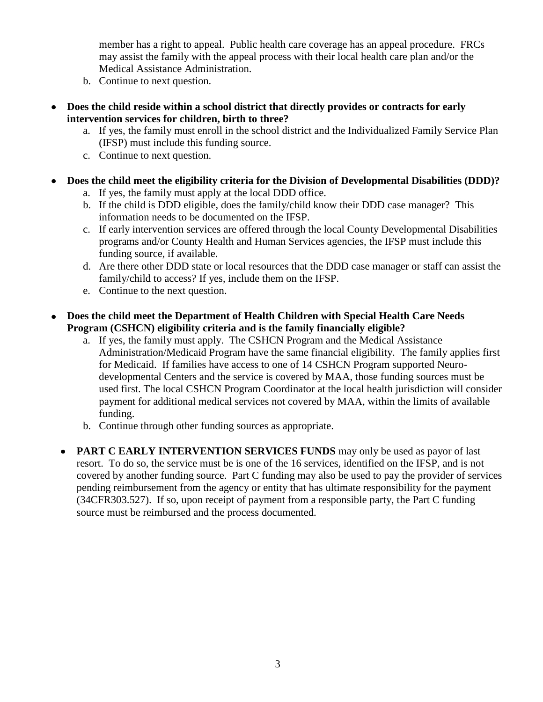member has a right to appeal. Public health care coverage has an appeal procedure. FRCs may assist the family with the appeal process with their local health care plan and/or the Medical Assistance Administration.

- b. Continue to next question.
- **Does the child reside within a school district that directly provides or contracts for early intervention services for children, birth to three?**
	- a. If yes, the family must enroll in the school district and the Individualized Family Service Plan (IFSP) must include this funding source.
	- c. Continue to next question.
- **Does the child meet the eligibility criteria for the Division of Developmental Disabilities (DDD)?** 
	- a. If yes, the family must apply at the local DDD office.
	- b. If the child is DDD eligible, does the family/child know their DDD case manager? This information needs to be documented on the IFSP.
	- c. If early intervention services are offered through the local County Developmental Disabilities programs and/or County Health and Human Services agencies, the IFSP must include this funding source, if available.
	- d. Are there other DDD state or local resources that the DDD case manager or staff can assist the family/child to access? If yes, include them on the IFSP.
	- e. Continue to the next question.
- **Does the child meet the Department of Health Children with Special Health Care Needs Program (CSHCN) eligibility criteria and is the family financially eligible?**
	- a. If yes, the family must apply. The CSHCN Program and the Medical Assistance Administration/Medicaid Program have the same financial eligibility. The family applies first for Medicaid. If families have access to one of 14 CSHCN Program supported Neurodevelopmental Centers and the service is covered by MAA, those funding sources must be used first. The local CSHCN Program Coordinator at the local health jurisdiction will consider payment for additional medical services not covered by MAA, within the limits of available funding.
	- b. Continue through other funding sources as appropriate.
	- **PART C EARLY INTERVENTION SERVICES FUNDS** may only be used as payor of last resort. To do so, the service must be is one of the 16 services, identified on the IFSP, and is not covered by another funding source. Part C funding may also be used to pay the provider of services pending reimbursement from the agency or entity that has ultimate responsibility for the payment (34CFR303.527). If so, upon receipt of payment from a responsible party, the Part C funding source must be reimbursed and the process documented.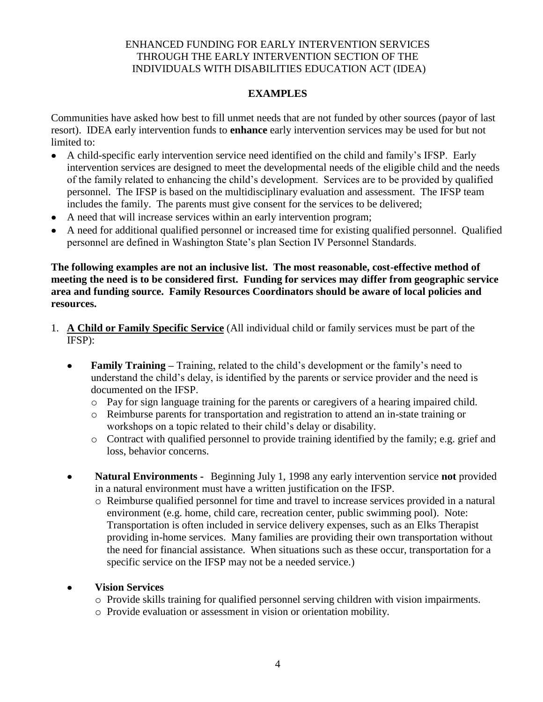## ENHANCED FUNDING FOR EARLY INTERVENTION SERVICES THROUGH THE EARLY INTERVENTION SECTION OF THE INDIVIDUALS WITH DISABILITIES EDUCATION ACT (IDEA)

## **EXAMPLES**

Communities have asked how best to fill unmet needs that are not funded by other sources (payor of last resort). IDEA early intervention funds to **enhance** early intervention services may be used for but not limited to:

- A child-specific early intervention service need identified on the child and family's IFSP. Early intervention services are designed to meet the developmental needs of the eligible child and the needs of the family related to enhancing the child's development. Services are to be provided by qualified personnel. The IFSP is based on the multidisciplinary evaluation and assessment. The IFSP team includes the family. The parents must give consent for the services to be delivered;
- A need that will increase services within an early intervention program;
- A need for additional qualified personnel or increased time for existing qualified personnel. Qualified personnel are defined in Washington State's plan Section IV Personnel Standards.

**The following examples are not an inclusive list. The most reasonable, cost-effective method of meeting the need is to be considered first. Funding for services may differ from geographic service area and funding source. Family Resources Coordinators should be aware of local policies and resources.** 

- 1. **A Child or Family Specific Service** (All individual child or family services must be part of the IFSP):
	- **Family Training –** Training, related to the child's development or the family's need to  $\bullet$ understand the child's delay, is identified by the parents or service provider and the need is documented on the IFSP.
		- o Pay for sign language training for the parents or caregivers of a hearing impaired child.
		- o Reimburse parents for transportation and registration to attend an in-state training or workshops on a topic related to their child's delay or disability.
		- o Contract with qualified personnel to provide training identified by the family; e.g. grief and loss, behavior concerns.
	- **Natural Environments -** Beginning July 1, 1998 any early intervention service **not** provided  $\bullet$ in a natural environment must have a written justification on the IFSP.
		- o Reimburse qualified personnel for time and travel to increase services provided in a natural environment (e.g. home, child care, recreation center, public swimming pool). Note: Transportation is often included in service delivery expenses, such as an Elks Therapist providing in-home services. Many families are providing their own transportation without the need for financial assistance. When situations such as these occur, transportation for a specific service on the IFSP may not be a needed service.)

### **Vision Services**

- o Provide skills training for qualified personnel serving children with vision impairments.
- o Provide evaluation or assessment in vision or orientation mobility.